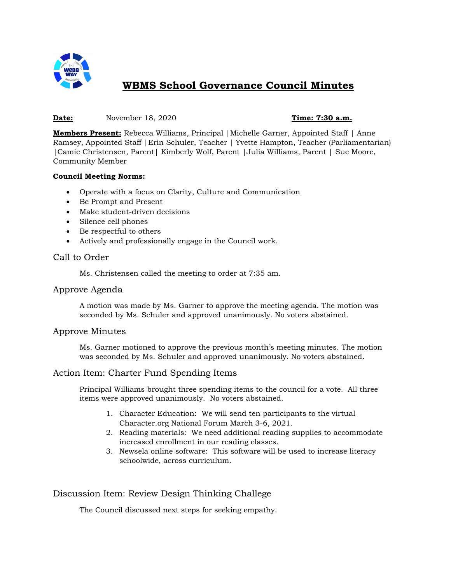

# **WBMS School Governance Council Minutes**

#### **Date:** November 18, 2020 **Time: 7:30 a.m.**

**Members Present:** Rebecca Williams, Principal |Michelle Garner, Appointed Staff | Anne Ramsey, Appointed Staff |Erin Schuler, Teacher | Yvette Hampton, Teacher (Parliamentarian) |Camie Christensen, Parent| Kimberly Wolf, Parent |Julia Williams, Parent | Sue Moore, Community Member

#### **Council Meeting Norms:**

- Operate with a focus on Clarity, Culture and Communication
- Be Prompt and Present
- Make student-driven decisions
- Silence cell phones
- Be respectful to others
- Actively and professionally engage in the Council work.

## Call to Order

Ms. Christensen called the meeting to order at 7:35 am.

#### Approve Agenda

A motion was made by Ms. Garner to approve the meeting agenda. The motion was seconded by Ms. Schuler and approved unanimously. No voters abstained.

### Approve Minutes

Ms. Garner motioned to approve the previous month's meeting minutes. The motion was seconded by Ms. Schuler and approved unanimously. No voters abstained.

### Action Item: Charter Fund Spending Items

Principal Williams brought three spending items to the council for a vote. All three items were approved unanimously. No voters abstained.

- 1. Character Education: We will send ten participants to the virtual Character.org National Forum March 3-6, 2021.
- 2. Reading materials: We need additional reading supplies to accommodate increased enrollment in our reading classes.
- 3. Newsela online software: This software will be used to increase literacy schoolwide, across curriculum.

# Discussion Item: Review Design Thinking Challege

The Council discussed next steps for seeking empathy.